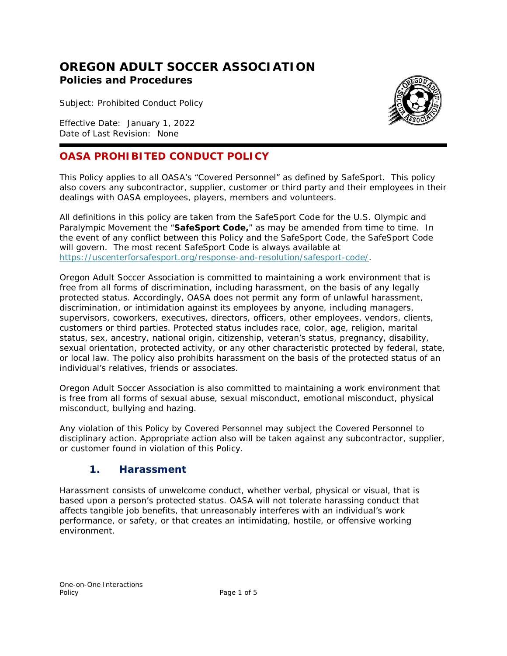# **OREGON ADULT SOCCER ASSOCIATION Policies and Procedures**

Subject: Prohibited Conduct Policy

Effective Date: January 1, 2022 Date of Last Revision: None

#### **OASA PROHIBITED CONDUCT POLICY**

This Policy applies to all OASA's "Covered Personnel" as defined by SafeSport. This policy also covers any subcontractor, supplier, customer or third party and their employees in their dealings with OASA employees, players, members and volunteers.

All definitions in this policy are taken from the SafeSport Code for the U.S. Olympic and Paralympic Movement the "SafeSport Code," as may be amended from time to time. In the event of any conflict between this Policy and the SafeSport Code, the SafeSport Code will govern. The most recent SafeSport Code is always available at [https://uscenterforsafesport.org/response-and-resolution/safesport-code/.](https://uscenterforsafesport.org/response-and-resolution/safesport-code/)

Oregon Adult Soccer Association is committed to maintaining a work environment that is free from all forms of discrimination, including harassment, on the basis of any legally protected status. Accordingly, OASA does not permit any form of unlawful harassment, discrimination, or intimidation against its employees by anyone, including managers, supervisors, coworkers, executives, directors, officers, other employees, vendors, clients, customers or third parties. Protected status includes race, color, age, religion, marital status, sex, ancestry, national origin, citizenship, veteran's status, pregnancy, disability, sexual orientation, protected activity, or any other characteristic protected by federal, state, or local law. The policy also prohibits harassment on the basis of the protected status of an individual's relatives, friends or associates.

Oregon Adult Soccer Association is also committed to maintaining a work environment that is free from all forms of sexual abuse, sexual misconduct, emotional misconduct, physical misconduct, bullying and hazing.

Any violation of this Policy by Covered Personnel may subject the Covered Personnel to disciplinary action. Appropriate action also will be taken against any subcontractor, supplier, or customer found in violation of this Policy.

#### **1. Harassment**

Harassment consists of unwelcome conduct, whether verbal, physical or visual, that is based upon a person's protected status. OASA will not tolerate harassing conduct that affects tangible job benefits, that unreasonably interferes with an individual's work performance, or safety, or that creates an intimidating, hostile, or offensive working environment.

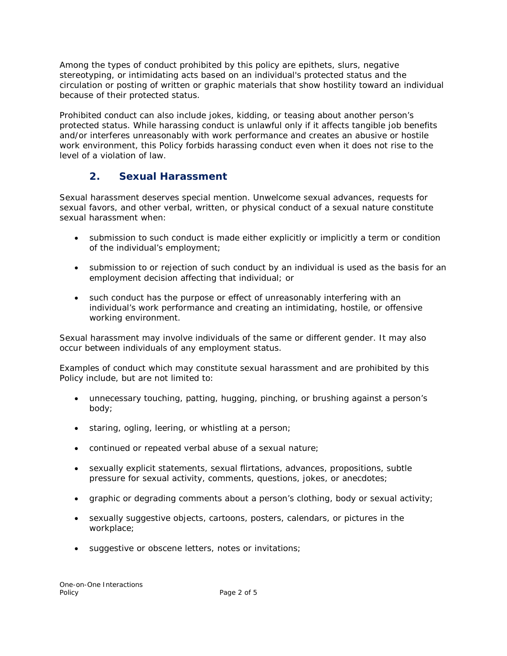Among the types of conduct prohibited by this policy are epithets, slurs, negative stereotyping, or intimidating acts based on an individual's protected status and the circulation or posting of written or graphic materials that show hostility toward an individual because of their protected status.

Prohibited conduct can also include jokes, kidding, or teasing about another person's protected status. While harassing conduct is unlawful only if it affects tangible job benefits and/or interferes unreasonably with work performance and creates an abusive or hostile work environment, this Policy forbids harassing conduct even when it does not rise to the level of a violation of law.

## **2. Sexual Harassment**

Sexual harassment deserves special mention. Unwelcome sexual advances, requests for sexual favors, and other verbal, written, or physical conduct of a sexual nature constitute sexual harassment when:

- submission to such conduct is made either explicitly or implicitly a term or condition of the individual's employment;
- submission to or rejection of such conduct by an individual is used as the basis for an employment decision affecting that individual; or
- such conduct has the purpose or effect of unreasonably interfering with an individual's work performance and creating an intimidating, hostile, or offensive working environment.

Sexual harassment may involve individuals of the same or different gender. It may also occur between individuals of any employment status.

Examples of conduct which may constitute sexual harassment and are prohibited by this Policy include, but are not limited to:

- unnecessary touching, patting, hugging, pinching, or brushing against a person's body;
- staring, ogling, leering, or whistling at a person;
- continued or repeated verbal abuse of a sexual nature;
- sexually explicit statements, sexual flirtations, advances, propositions, subtle pressure for sexual activity, comments, questions, jokes, or anecdotes;
- graphic or degrading comments about a person's clothing, body or sexual activity;
- sexually suggestive objects, cartoons, posters, calendars, or pictures in the workplace;
- suggestive or obscene letters, notes or invitations;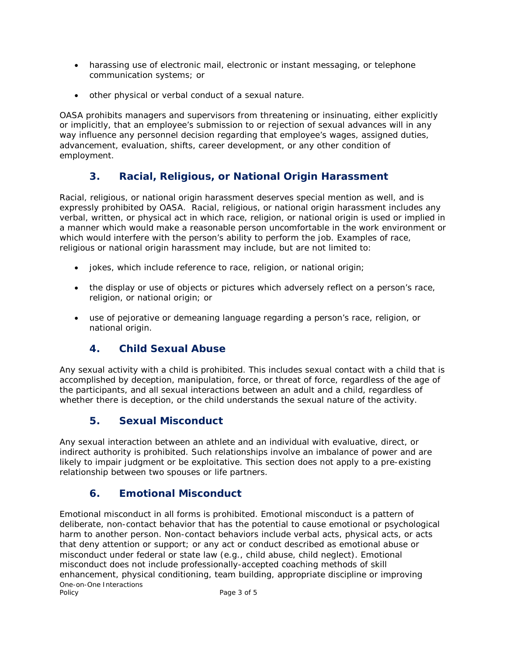- harassing use of electronic mail, electronic or instant messaging, or telephone communication systems; or
- other physical or verbal conduct of a sexual nature.

OASA prohibits managers and supervisors from threatening or insinuating, either explicitly or implicitly, that an employee's submission to or rejection of sexual advances will in any way influence any personnel decision regarding that employee's wages, assigned duties, advancement, evaluation, shifts, career development, or any other condition of employment.

## **3. Racial, Religious, or National Origin Harassment**

Racial, religious, or national origin harassment deserves special mention as well, and is expressly prohibited by OASA. Racial, religious, or national origin harassment includes any verbal, written, or physical act in which race, religion, or national origin is used or implied in a manner which would make a reasonable person uncomfortable in the work environment or which would interfere with the person's ability to perform the job. Examples of race, religious or national origin harassment may include, but are not limited to:

- jokes, which include reference to race, religion, or national origin;
- the display or use of objects or pictures which adversely reflect on a person's race, religion, or national origin; or
- use of pejorative or demeaning language regarding a person's race, religion, or national origin.

## **4. Child Sexual Abuse**

Any sexual activity with a child is prohibited. This includes sexual contact with a child that is accomplished by deception, manipulation, force, or threat of force, regardless of the age of the participants, and all sexual interactions between an adult and a child, regardless of whether there is deception, or the child understands the sexual nature of the activity.

## **5. Sexual Misconduct**

Any sexual interaction between an athlete and an individual with evaluative, direct, or indirect authority is prohibited. Such relationships involve an imbalance of power and are likely to impair judgment or be exploitative. This section does not apply to a pre-existing relationship between two spouses or life partners.

## **6. Emotional Misconduct**

One-on-One Interactions<br>Policy Emotional misconduct in all forms is prohibited. Emotional misconduct is a pattern of deliberate, non-contact behavior that has the potential to cause emotional or psychological harm to another person. Non-contact behaviors include verbal acts, physical acts, or acts that deny attention or support; or any act or conduct described as emotional abuse or misconduct under federal or state law (e.g., child abuse, child neglect). Emotional misconduct does not include professionally-accepted coaching methods of skill enhancement, physical conditioning, team building, appropriate discipline or improving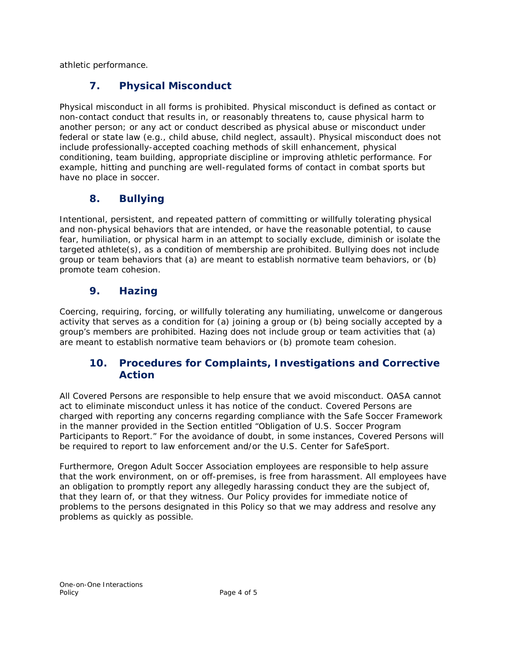athletic performance.

# **7. Physical Misconduct**

Physical misconduct in all forms is prohibited. Physical misconduct is defined as contact or non-contact conduct that results in, or reasonably threatens to, cause physical harm to another person; or any act or conduct described as physical abuse or misconduct under federal or state law (e.g., child abuse, child neglect, assault). Physical misconduct does not include professionally-accepted coaching methods of skill enhancement, physical conditioning, team building, appropriate discipline or improving athletic performance. For example, hitting and punching are well-regulated forms of contact in combat sports but have no place in soccer.

# **8. Bullying**

Intentional, persistent, and repeated pattern of committing or willfully tolerating physical and non-physical behaviors that are intended, or have the reasonable potential, to cause fear, humiliation, or physical harm in an attempt to socially exclude, diminish or isolate the targeted athlete(s), as a condition of membership are prohibited. Bullying does not include group or team behaviors that (a) are meant to establish normative team behaviors, or (b) promote team cohesion.

## **9. Hazing**

Coercing, requiring, forcing, or willfully tolerating any humiliating, unwelcome or dangerous activity that serves as a condition for (a) joining a group or (b) being socially accepted by a group's members are prohibited. Hazing does not include group or team activities that (a) are meant to establish normative team behaviors or (b) promote team cohesion.

#### **10. Procedures for Complaints, Investigations and Corrective Action**

All Covered Persons are responsible to help ensure that we avoid misconduct. OASA cannot act to eliminate misconduct unless it has notice of the conduct. Covered Persons are charged with reporting any concerns regarding compliance with the Safe Soccer Framework in the manner provided in the Section entitled "Obligation of U.S. Soccer Program Participants to Report." For the avoidance of doubt, in some instances, Covered Persons will be required to report to law enforcement and/or the U.S. Center for SafeSport.

Furthermore, Oregon Adult Soccer Association employees are responsible to help assure that the work environment, on or off-premises, is free from harassment. All employees have an obligation to promptly report any allegedly harassing conduct they are the subject of, that they learn of, or that they witness. Our Policy provides for immediate notice of problems to the persons designated in this Policy so that we may address and resolve any problems as quickly as possible.